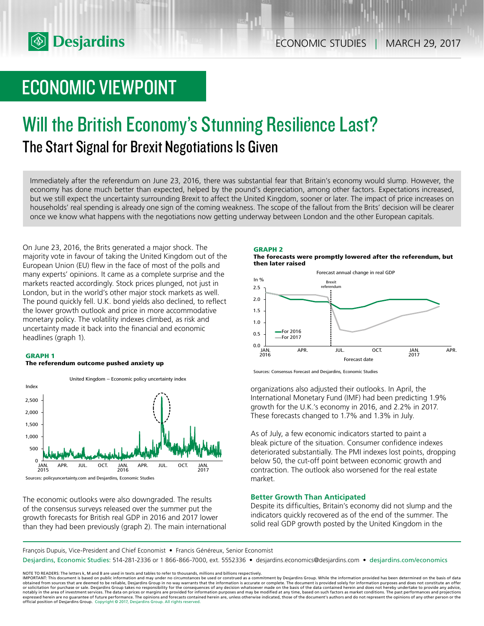

# ECONOMIC VIEWPOINT

# Will the British Economy's Stunning Resilience Last? The Start Signal for Brexit Negotiations Is Given

Immediately after the referendum on June 23, 2016, there was substantial fear that Britain's economy would slump. However, the economy has done much better than expected, helped by the pound's depreciation, among other factors. Expectations increased, but we still expect the uncertainty surrounding Brexit to affect the United Kingdom, sooner or later. The impact of price increases on households' real spending is already one sign of the coming weakness. The scope of the fallout from the Brits' decision will be clearer once we know what happens with the negotiations now getting underway between London and the other European capitals.

On June 23, 2016, the Brits generated a major shock. The majority vote in favour of taking the United Kingdom out of the European Union (EU) flew in the face of most of the polls and many experts' opinions. It came as a complete surprise and the markets reacted accordingly. Stock prices plunged, not just in London, but in the world's other major stock markets as well. The pound quickly fell. U.K. bond yields also declined, to reflect the lower growth outlook and price in more accommodative monetary policy. The volatility indexes climbed, as risk and uncertainty made it back into the financial and economic headlines (graph 1).

# **GRAPH 1**

#### **The referendum outcome pushed anxiety up**



Sources: policyuncertainty.com and Desjardins, Economic Studies

The economic outlooks were also downgraded. The results of the consensus surveys released over the summer put the growth forecasts for British real GDP in 2016 and 2017 lower than they had been previously (graph 2). The main international



**The forecasts were promptly lowered after the referendum, but then later raised**



Sources: Consensus Forecast and Desjardins, Economic Studies

organizations also adjusted their outlooks. In April, the International Monetary Fund (IMF) had been predicting 1.9% growth for the U.K.'s economy in 2016, and 2.2% in 2017. These forecasts changed to 1.7% and 1.3% in July.

As of July, a few economic indicators started to paint a bleak picture of the situation. Consumer confidence indexes deteriorated substantially. The PMI indexes lost points, dropping below 50, the cut-off point between economic growth and contraction. The outlook also worsened for the real estate market.

# **Better Growth Than Anticipated**

Despite its difficulties, Britain's economy did not slump and the indicators quickly recovered as of the end of the summer. The solid real GDP growth posted by the United Kingdom in the

François Dupuis, Vice-President and Chief Economist • Francis Généreux, Senior Economist

Desjardins, Economic Studies: 514-281-2336 or 1 866-866-7000, ext. 5552336 • desjardins.economics@desjardins.com • desjardins.com/economics

NOTE TO READERS: The letters k, M and B are used in texts and tables to refer to thousands, millions and billions respectively.<br>IMPORTANT: This document is based on public information and may under no circumstances be used obtained from sources that are deemed to be reliable, Desjardins Group in no way warrants that the information is accurate or complete. The document is provided solely for information purposes and does not constitute an of expressed herein are no guarantee of future performance. The opinions and forecasts contained herein are, unless otherwise indicated, those of the document's authors and do not represent the opinions of any other person or official position of Desjardins Group. Copyright © 2017, Desjardins Group. All rights reserved.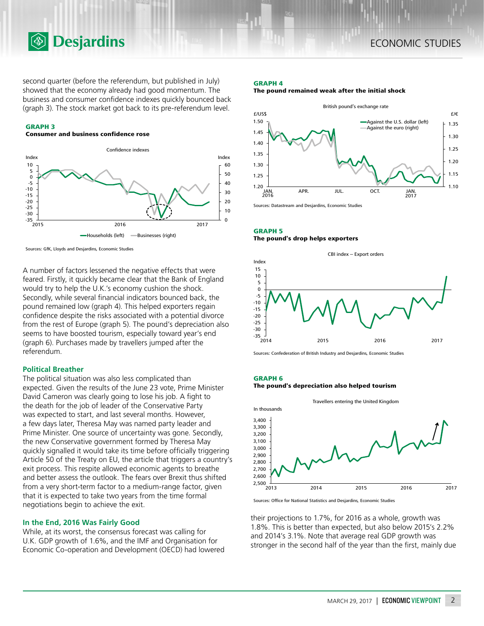second quarter (before the referendum, but published in July) showed that the economy already had good momentum. The business and consumer confidence indexes quickly bounced back (graph 3). The stock market got back to its pre-referendum level.

## **GRAPH 3**

# **Consumer and business confidence rose**

**<b>Desjardins** 



Sources: GfK, Lloyds and Desjardins, Economic Studies

A number of factors lessened the negative effects that were feared. Firstly, it quickly became clear that the Bank of England would try to help the U.K.'s economy cushion the shock. Secondly, while several financial indicators bounced back, the pound remained low (graph 4). This helped exporters regain confidence despite the risks associated with a potential divorce from the rest of Europe (graph 5). The pound's depreciation also seems to have boosted tourism, especially toward year's end (graph 6). Purchases made by travellers jumped after the referendum.

## **Political Breather**

The political situation was also less complicated than expected. Given the results of the June 23 vote, Prime Minister David Cameron was clearly going to lose his job. A fight to the death for the job of leader of the Conservative Party was expected to start, and last several months. However, a few days later, Theresa May was named party leader and Prime Minister. One source of uncertainty was gone. Secondly, the new Conservative government formed by Theresa May quickly signalled it would take its time before officially triggering Article 50 of the Treaty on EU, the article that triggers a country's exit process. This respite allowed economic agents to breathe and better assess the outlook. The fears over Brexit thus shifted from a very short-term factor to a medium-range factor, given that it is expected to take two years from the time formal negotiations begin to achieve the exit.

## **In the End, 2016 Was Fairly Good**

While, at its worst, the consensus forecast was calling for U.K. GDP growth of 1.6%, and the IMF and Organisation for Economic Co-operation and Development (OECD) had lowered

#### **GRAPH 4**

**The pound remained weak after the initial shock**



Sources: Datastream and Desjardins, Economic Studies

# **GRAPH 5 The pound's drop helps exporters**



Sources: Confederation of British Industry and Desjardins, Economic Studies

## **GRAPH 6**

**The pound's depreciation also helped tourism**



Sources: Office for National Statistics and Desjardins, Economic Studies

their projections to 1.7%, for 2016 as a whole, growth was 1.8%. This is better than expected, but also below 2015's 2.2% and 2014's 3.1%. Note that average real GDP growth was stronger in the second half of the year than the first, mainly due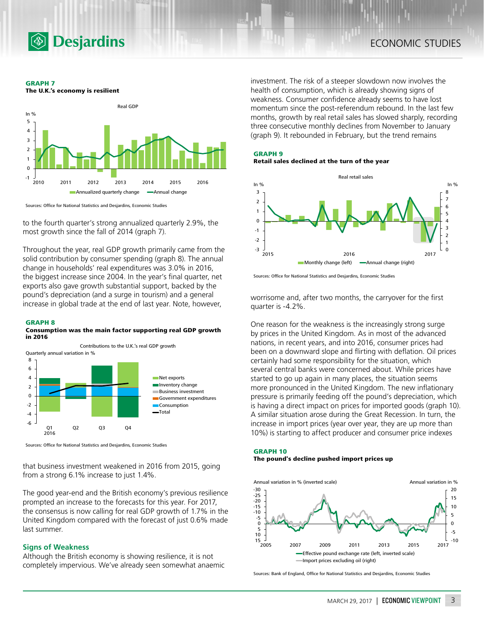

**GRAPH 7 The U.K.'s economy is resilient**



Sources: Office for National Statistics and Desjardins, Economic Studies

to the fourth quarter's strong annualized quarterly 2.9%, the most growth since the fall of 2014 (graph 7).

Throughout the year, real GDP growth primarily came from the solid contribution by consumer spending (graph 8). The annual change in households' real expenditures was 3.0% in 2016, the biggest increase since 2004. In the year's final quarter, net exports also gave growth substantial support, backed by the pound's depreciation (and a surge in tourism) and a general increase in global trade at the end of last year. Note, however,

#### **GRAPH 8**

#### **Consumption was the main factor supporting real GDP growth in 2016**



Sources: Office for National Statistics and Desjardins, Economic Studies

that business investment weakened in 2016 from 2015, going from a strong 6.1% increase to just 1.4%.

The good year-end and the British economy's previous resilience prompted an increase to the forecasts for this year. For 2017, the consensus is now calling for real GDP growth of 1.7% in the United Kingdom compared with the forecast of just 0.6% made last summer.

# **Signs of Weakness**

Although the British economy is showing resilience, it is not completely impervious. We've already seen somewhat anaemic investment. The risk of a steeper slowdown now involves the health of consumption, which is already showing signs of weakness. Consumer confidence already seems to have lost momentum since the post-referendum rebound. In the last few months, growth by real retail sales has slowed sharply, recording three consecutive monthly declines from November to January (graph 9). It rebounded in February, but the trend remains



# **Retail sales declined at the turn of the year**



Sources: Office for National Statistics and Desjardins, Economic Studies

worrisome and, after two months, the carryover for the first quarter is -4.2%.

One reason for the weakness is the increasingly strong surge by prices in the United Kingdom. As in most of the advanced nations, in recent years, and into 2016, consumer prices had been on a downward slope and flirting with deflation. Oil prices certainly had some responsibility for the situation, which several central banks were concerned about. While prices have started to go up again in many places, the situation seems more pronounced in the United Kingdom. The new inflationary pressure is primarily feeding off the pound's depreciation, which is having a direct impact on prices for imported goods (graph 10). A similar situation arose during the Great Recession. In turn, the increase in import prices (year over year, they are up more than 10%) is starting to affect producer and consumer price indexes

## **GRAPH 10 The pound's decline pushed import prices up**



Sources: Bank of England, Office for National Statistics and Desjardins, Economic Studies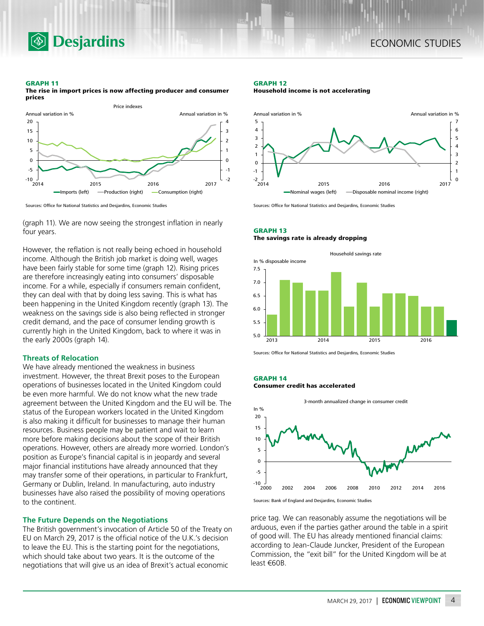

#### **GRAPH 11**

**The rise in import prices is now affecting producer and consumer prices**



Sources: Office for National Statistics and Desjardins, Economic Studies

**Desjardins** 

(graph 11). We are now seeing the strongest inflation in nearly four years.

However, the reflation is not really being echoed in household income. Although the British job market is doing well, wages have been fairly stable for some time (graph 12). Rising prices are therefore increasingly eating into consumers' disposable income. For a while, especially if consumers remain confident, they can deal with that by doing less saving. This is what has been happening in the United Kingdom recently (graph 13). The weakness on the savings side is also being reflected in stronger credit demand, and the pace of consumer lending growth is currently high in the United Kingdom, back to where it was in the early 2000s (graph 14).

## **Threats of Relocation**

We have already mentioned the weakness in business investment. However, the threat Brexit poses to the European operations of businesses located in the United Kingdom could be even more harmful. We do not know what the new trade agreement between the United Kingdom and the EU will be. The status of the European workers located in the United Kingdom is also making it difficult for businesses to manage their human resources. Business people may be patient and wait to learn more before making decisions about the scope of their British operations. However, others are already more worried. London's position as Europe's financial capital is in jeopardy and several major financial institutions have already announced that they may transfer some of their operations, in particular to Frankfurt, Germany or Dublin, Ireland. In manufacturing, auto industry businesses have also raised the possibility of moving operations to the continent.

### **The Future Depends on the Negotiations**

The British government's invocation of Article 50 of the Treaty on EU on March 29, 2017 is the official notice of the U.K.'s decision to leave the EU. This is the starting point for the negotiations, which should take about two years. It is the outcome of the negotiations that will give us an idea of Brexit's actual economic

#### **GRAPH 12**

**Household income is not accelerating**



Sources: Office for National Statistics and Desjardins, Economic Studies

# **GRAPH 13 The savings rate is already dropping**



Sources: Office for National Statistics and Desjardins, Economic Studies

## **GRAPH 14**

### **Consumer credit has accelerated**



Sources: Bank of England and Desjardins, Economic Studies

price tag. We can reasonably assume the negotiations will be arduous, even if the parties gather around the table in a spirit of good will. The EU has already mentioned financial claims: according to Jean‑Claude Juncker, President of the European Commission, the "exit bill" for the United Kingdom will be at least €60B.